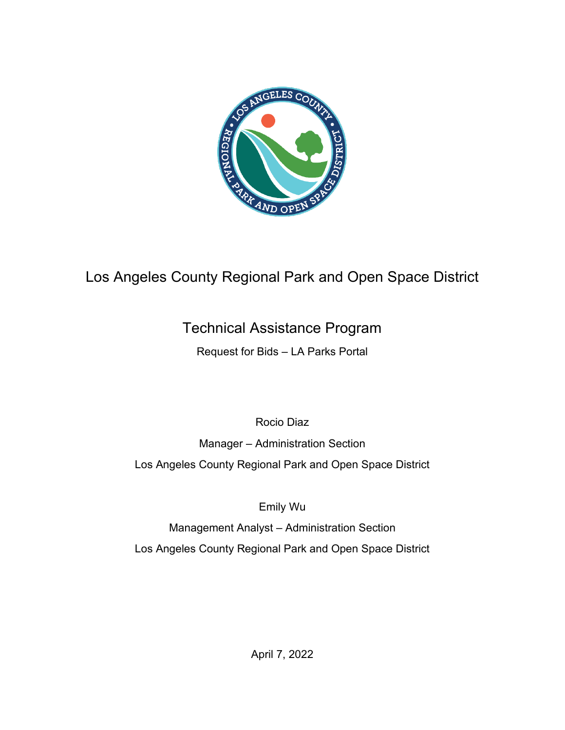

# Los Angeles County Regional Park and Open Space District

# Technical Assistance Program

Request for Bids – LA Parks Portal

Rocio Diaz

Manager – Administration Section

Los Angeles County Regional Park and Open Space District

Emily Wu

Management Analyst – Administration Section Los Angeles County Regional Park and Open Space District

April 7, 2022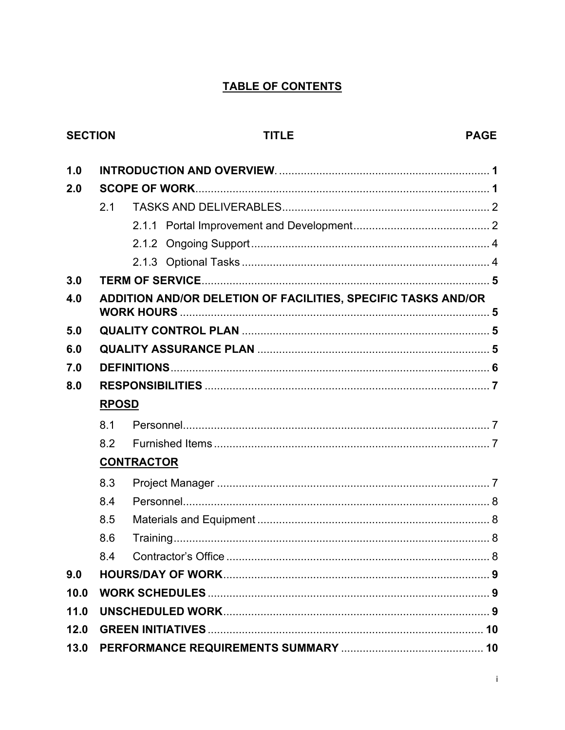## TABLE OF CONTENTS

## **SECTION**

# **TITLE**

| 1.0  |                                                               |  |  |
|------|---------------------------------------------------------------|--|--|
| 2.0  |                                                               |  |  |
|      | 2.1                                                           |  |  |
|      |                                                               |  |  |
|      |                                                               |  |  |
|      |                                                               |  |  |
| 3.0  |                                                               |  |  |
| 4.0  | ADDITION AND/OR DELETION OF FACILITIES, SPECIFIC TASKS AND/OR |  |  |
| 5.0  |                                                               |  |  |
| 6.0  |                                                               |  |  |
| 7.0  |                                                               |  |  |
| 8.0  |                                                               |  |  |
|      | <b>RPOSD</b>                                                  |  |  |
|      | 8.1                                                           |  |  |
|      | 8.2                                                           |  |  |
|      | <b>CONTRACTOR</b>                                             |  |  |
|      | 8.3                                                           |  |  |
|      | 8.4                                                           |  |  |
|      | 8.5                                                           |  |  |
|      | 8.6                                                           |  |  |
|      | 8.4                                                           |  |  |
| 9.0  |                                                               |  |  |
| 10.0 |                                                               |  |  |
| 11.0 |                                                               |  |  |
| 12.0 |                                                               |  |  |
| 13.0 |                                                               |  |  |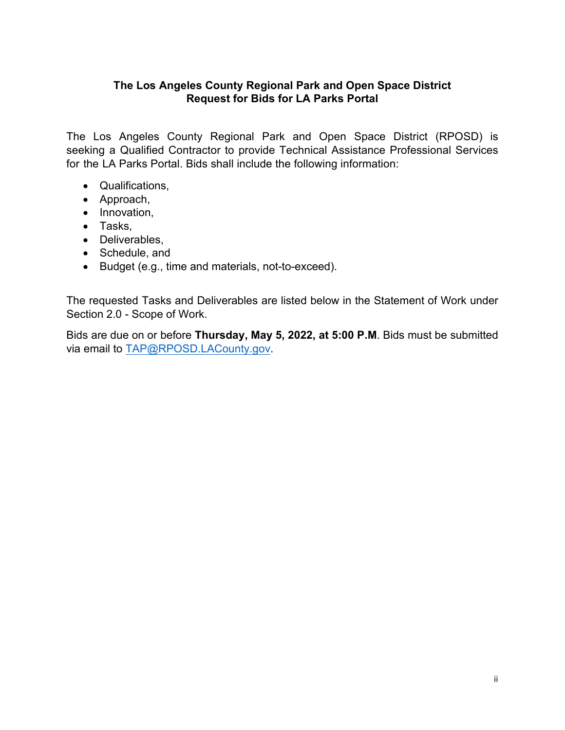## **The Los Angeles County Regional Park and Open Space District Request for Bids for LA Parks Portal**

The Los Angeles County Regional Park and Open Space District (RPOSD) is seeking a Qualified Contractor to provide Technical Assistance Professional Services for the LA Parks Portal. Bids shall include the following information:

- Qualifications,
- Approach,
- Innovation,
- Tasks,
- Deliverables,
- Schedule, and
- Budget (e.g., time and materials, not-to-exceed).

The requested Tasks and Deliverables are listed below in the Statement of Work under Section 2.0 - Scope of Work.

Bids are due on or before **Thursday, May 5, 2022, at 5:00 P.M**. Bids must be submitted via email to [TAP@RPOSD.LACounty.gov.](mailto:TAP@RPOSD.LACounty.gov)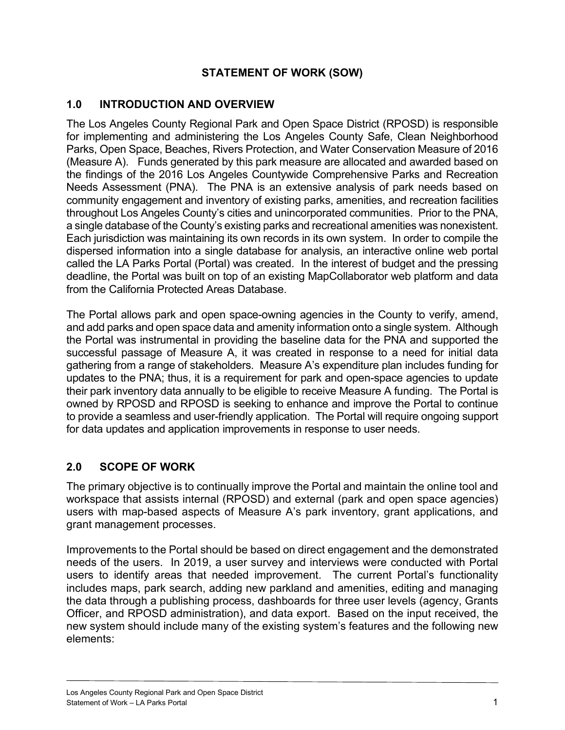## **STATEMENT OF WORK (SOW)**

## <span id="page-3-0"></span>**1.0 INTRODUCTION AND OVERVIEW**

The Los Angeles County Regional Park and Open Space District (RPOSD) is responsible for implementing and administering the Los Angeles County Safe, Clean Neighborhood Parks, Open Space, Beaches, Rivers Protection, and Water Conservation Measure of 2016 (Measure A). Funds generated by this park measure are allocated and awarded based on the findings of the 2016 Los Angeles Countywide Comprehensive Parks and Recreation Needs Assessment (PNA). The PNA is an extensive analysis of park needs based on community engagement and inventory of existing parks, amenities, and recreation facilities throughout Los Angeles County's cities and unincorporated communities. Prior to the PNA, a single database of the County's existing parks and recreational amenities was nonexistent. Each jurisdiction was maintaining its own records in its own system. In order to compile the dispersed information into a single database for analysis, an interactive online web portal called the LA Parks Portal (Portal) was created. In the interest of budget and the pressing deadline, the Portal was built on top of an existing MapCollaborator web platform and data from the California Protected Areas Database.

The Portal allows park and open space-owning agencies in the County to verify, amend, and add parks and open space data and amenity information onto a single system. Although the Portal was instrumental in providing the baseline data for the PNA and supported the successful passage of Measure A, it was created in response to a need for initial data gathering from a range of stakeholders. Measure A's expenditure plan includes funding for updates to the PNA; thus, it is a requirement for park and open-space agencies to update their park inventory data annually to be eligible to receive Measure A funding. The Portal is owned by RPOSD and RPOSD is seeking to enhance and improve the Portal to continue to provide a seamless and user-friendly application. The Portal will require ongoing support for data updates and application improvements in response to user needs.

## **2.0 SCOPE OF WORK**

The primary objective is to continually improve the Portal and maintain the online tool and workspace that assists internal (RPOSD) and external (park and open space agencies) users with map-based aspects of Measure A's park inventory, grant applications, and grant management processes.

Improvements to the Portal should be based on direct engagement and the demonstrated needs of the users. In 2019, a user survey and interviews were conducted with Portal users to identify areas that needed improvement. The current Portal's functionality includes maps, park search, adding new parkland and amenities, editing and managing the data through a publishing process, dashboards for three user levels (agency, Grants Officer, and RPOSD administration), and data export. Based on the input received, the new system should include many of the existing system's features and the following new elements: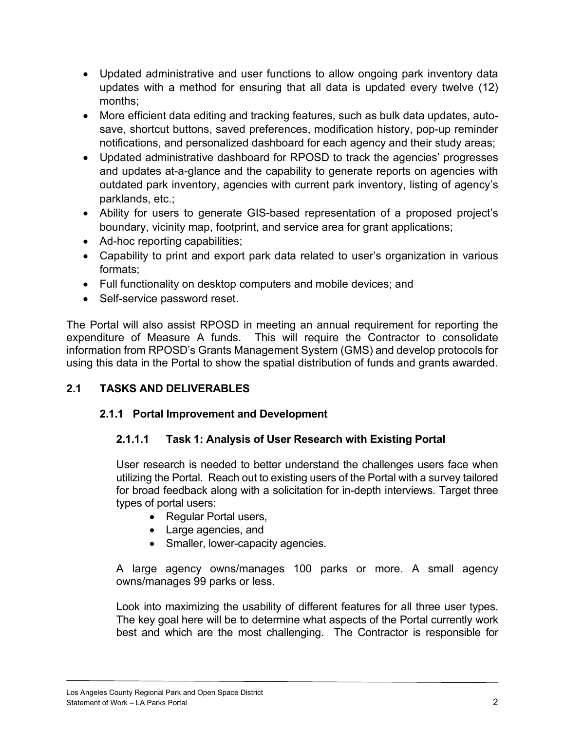- <span id="page-4-0"></span>• Updated administrative and user functions to allow ongoing park inventory data updates with a method for ensuring that all data is updated every twelve (12) months;
- More efficient data editing and tracking features, such as bulk data updates, autosave, shortcut buttons, saved preferences, modification history, pop-up reminder notifications, and personalized dashboard for each agency and their study areas;
- Updated administrative dashboard for RPOSD to track the agencies' progresses and updates at-a-glance and the capability to generate reports on agencies with outdated park inventory, agencies with current park inventory, listing of agency's parklands, etc.;
- Ability for users to generate GIS-based representation of a proposed project's boundary, vicinity map, footprint, and service area for grant applications;
- Ad-hoc reporting capabilities;
- Capability to print and export park data related to user's organization in various formats;
- Full functionality on desktop computers and mobile devices; and
- Self-service password reset.

The Portal will also assist RPOSD in meeting an annual requirement for reporting the expenditure of Measure A funds. This will require the Contractor to consolidate information from RPOSD's Grants Management System (GMS) and develop protocols for using this data in the Portal to show the spatial distribution of funds and grants awarded.

## **2.1 TASKS AND DELIVERABLES**

## **2.1.1 Portal Improvement and Development**

## **2.1.1.1 Task 1: Analysis of User Research with Existing Portal**

User research is needed to better understand the challenges users face when utilizing the Portal. Reach out to existing users of the Portal with a survey tailored for broad feedback along with a solicitation for in-depth interviews. Target three types of portal users:

- Regular Portal users,
- Large agencies, and
- Smaller, lower-capacity agencies.

A large agency owns/manages 100 parks or more. A small agency owns/manages 99 parks or less.

Look into maximizing the usability of different features for all three user types. The key goal here will be to determine what aspects of the Portal currently work best and which are the most challenging. The Contractor is responsible for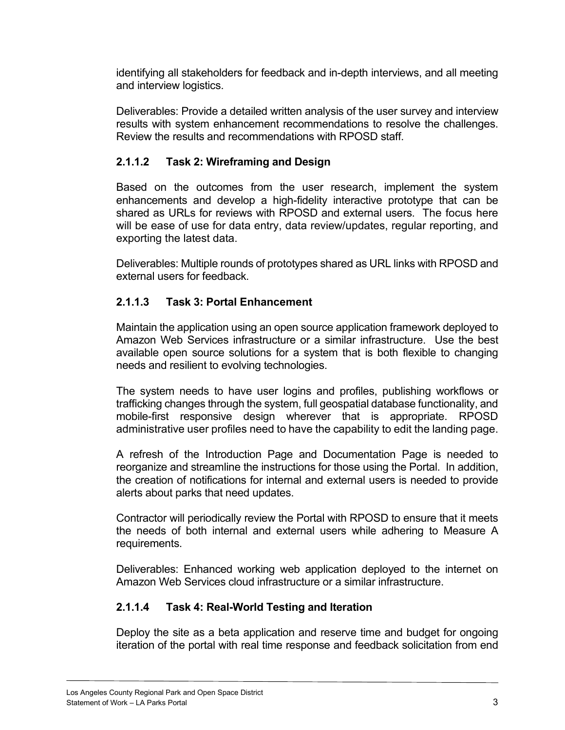identifying all stakeholders for feedback and in-depth interviews, and all meeting and interview logistics.

Deliverables: Provide a detailed written analysis of the user survey and interview results with system enhancement recommendations to resolve the challenges. Review the results and recommendations with RPOSD staff.

## **2.1.1.2 Task 2: Wireframing and Design**

Based on the outcomes from the user research, implement the system enhancements and develop a high-fidelity interactive prototype that can be shared as URLs for reviews with RPOSD and external users. The focus here will be ease of use for data entry, data review/updates, regular reporting, and exporting the latest data.

Deliverables: Multiple rounds of prototypes shared as URL links with RPOSD and external users for feedback.

## **2.1.1.3 Task 3: Portal Enhancement**

Maintain the application using an open source application framework deployed to Amazon Web Services infrastructure or a similar infrastructure. Use the best available open source solutions for a system that is both flexible to changing needs and resilient to evolving technologies.

The system needs to have user logins and profiles, publishing workflows or trafficking changes through the system, full geospatial database functionality, and mobile-first responsive design wherever that is appropriate. RPOSD administrative user profiles need to have the capability to edit the landing page.

A refresh of the Introduction Page and Documentation Page is needed to reorganize and streamline the instructions for those using the Portal. In addition, the creation of notifications for internal and external users is needed to provide alerts about parks that need updates.

Contractor will periodically review the Portal with RPOSD to ensure that it meets the needs of both internal and external users while adhering to Measure A requirements.

Deliverables: Enhanced working web application deployed to the internet on Amazon Web Services cloud infrastructure or a similar infrastructure.

## **2.1.1.4 Task 4: Real-World Testing and Iteration**

Deploy the site as a beta application and reserve time and budget for ongoing iteration of the portal with real time response and feedback solicitation from end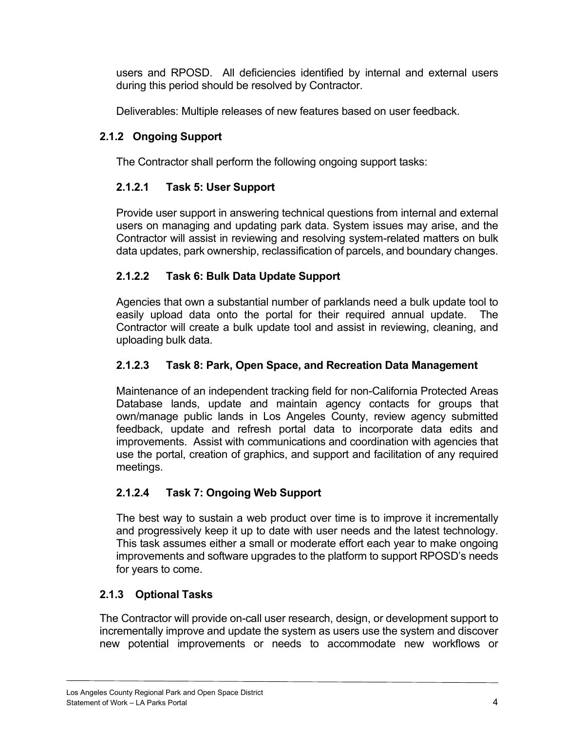<span id="page-6-0"></span>users and RPOSD. All deficiencies identified by internal and external users during this period should be resolved by Contractor.

Deliverables: Multiple releases of new features based on user feedback.

## **2.1.2 Ongoing Support**

The Contractor shall perform the following ongoing support tasks:

## **2.1.2.1 Task 5: User Support**

Provide user support in answering technical questions from internal and external users on managing and updating park data. System issues may arise, and the Contractor will assist in reviewing and resolving system-related matters on bulk data updates, park ownership, reclassification of parcels, and boundary changes.

## **2.1.2.2 Task 6: Bulk Data Update Support**

Agencies that own a substantial number of parklands need a bulk update tool to easily upload data onto the portal for their required annual update. The Contractor will create a bulk update tool and assist in reviewing, cleaning, and uploading bulk data.

## **2.1.2.3 Task 8: Park, Open Space, and Recreation Data Management**

Maintenance of an independent tracking field for non-California Protected Areas Database lands, update and maintain agency contacts for groups that own/manage public lands in Los Angeles County, review agency submitted feedback, update and refresh portal data to incorporate data edits and improvements. Assist with communications and coordination with agencies that use the portal, creation of graphics, and support and facilitation of any required meetings.

## **2.1.2.4 Task 7: Ongoing Web Support**

The best way to sustain a web product over time is to improve it incrementally and progressively keep it up to date with user needs and the latest technology. This task assumes either a small or moderate effort each year to make ongoing improvements and software upgrades to the platform to support RPOSD's needs for years to come.

## **2.1.3 Optional Tasks**

The Contractor will provide on-call user research, design, or development support to incrementally improve and update the system as users use the system and discover new potential improvements or needs to accommodate new workflows or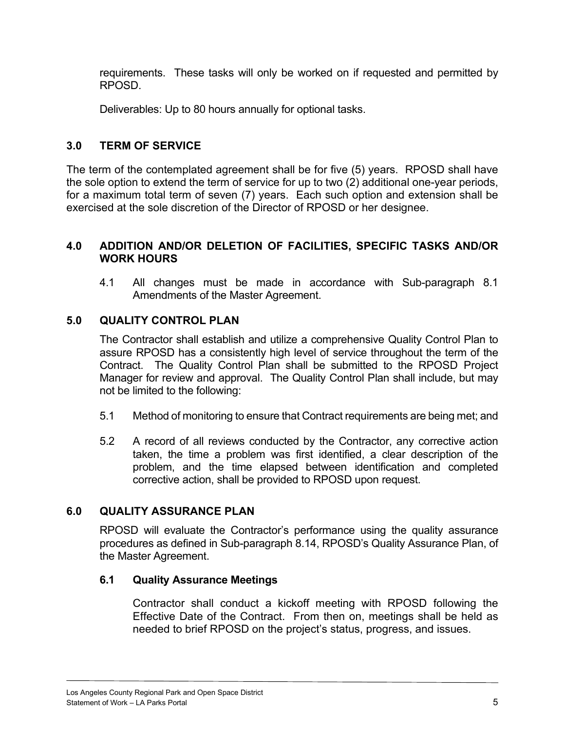<span id="page-7-0"></span>requirements. These tasks will only be worked on if requested and permitted by RPOSD.

Deliverables: Up to 80 hours annually for optional tasks.

## **3.0 TERM OF SERVICE**

The term of the contemplated agreement shall be for five (5) years. RPOSD shall have the sole option to extend the term of service for up to two (2) additional one-year periods, for a maximum total term of seven (7) years. Each such option and extension shall be exercised at the sole discretion of the Director of RPOSD or her designee.

## **4.0 ADDITION AND/OR DELETION OF FACILITIES, SPECIFIC TASKS AND/OR WORK HOURS**

4.1 All changes must be made in accordance with Sub-paragraph 8.1 Amendments of the Master Agreement.

## **5.0 QUALITY CONTROL PLAN**

The Contractor shall establish and utilize a comprehensive Quality Control Plan to assure RPOSD has a consistently high level of service throughout the term of the Contract. The Quality Control Plan shall be submitted to the RPOSD Project Manager for review and approval. The Quality Control Plan shall include, but may not be limited to the following:

- 5.1 Method of monitoring to ensure that Contract requirements are being met; and
- 5.2 A record of all reviews conducted by the Contractor, any corrective action taken, the time a problem was first identified, a clear description of the problem, and the time elapsed between identification and completed corrective action, shall be provided to RPOSD upon request.

## **6.0 QUALITY ASSURANCE PLAN**

RPOSD will evaluate the Contractor's performance using the quality assurance procedures as defined in Sub-paragraph 8.14, RPOSD's Quality Assurance Plan, of the Master Agreement.

## **6.1 Quality Assurance Meetings**

Contractor shall conduct a kickoff meeting with RPOSD following the Effective Date of the Contract. From then on, meetings shall be held as needed to brief RPOSD on the project's status, progress, and issues.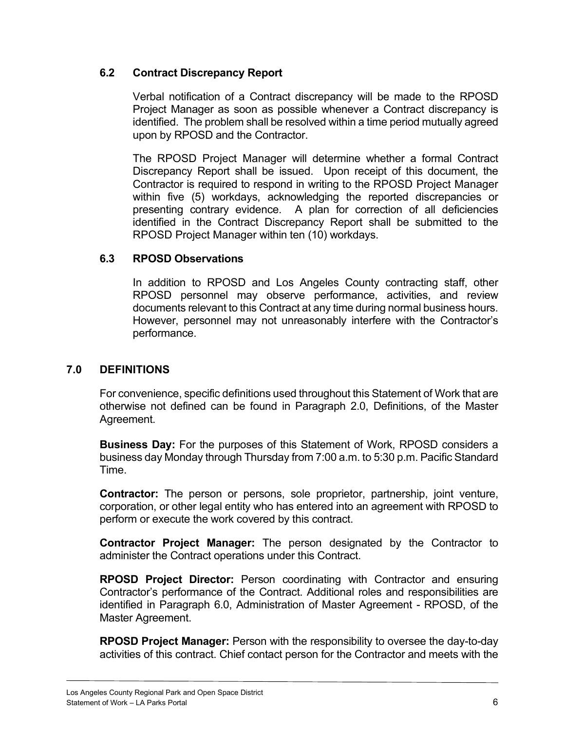## <span id="page-8-0"></span>**6.2 Contract Discrepancy Report**

Verbal notification of a Contract discrepancy will be made to the RPOSD Project Manager as soon as possible whenever a Contract discrepancy is identified. The problem shall be resolved within a time period mutually agreed upon by RPOSD and the Contractor.

The RPOSD Project Manager will determine whether a formal Contract Discrepancy Report shall be issued. Upon receipt of this document, the Contractor is required to respond in writing to the RPOSD Project Manager within five (5) workdays, acknowledging the reported discrepancies or presenting contrary evidence. A plan for correction of all deficiencies identified in the Contract Discrepancy Report shall be submitted to the RPOSD Project Manager within ten (10) workdays.

#### **6.3 RPOSD Observations**

In addition to RPOSD and Los Angeles County contracting staff, other RPOSD personnel may observe performance, activities, and review documents relevant to this Contract at any time during normal business hours. However, personnel may not unreasonably interfere with the Contractor's performance.

## **7.0 DEFINITIONS**

For convenience, specific definitions used throughout this Statement of Work that are otherwise not defined can be found in Paragraph 2.0, Definitions, of the Master Agreement.

**Business Day:** For the purposes of this Statement of Work, RPOSD considers a business day Monday through Thursday from 7:00 a.m. to 5:30 p.m. Pacific Standard Time.

**Contractor:** The person or persons, sole proprietor, partnership, joint venture, corporation, or other legal entity who has entered into an agreement with RPOSD to perform or execute the work covered by this contract.

**Contractor Project Manager:** The person designated by the Contractor to administer the Contract operations under this Contract.

**RPOSD Project Director:** Person coordinating with Contractor and ensuring Contractor's performance of the Contract. Additional roles and responsibilities are identified in Paragraph 6.0, Administration of Master Agreement - RPOSD, of the Master Agreement.

**RPOSD Project Manager:** Person with the responsibility to oversee the day-to-day activities of this contract. Chief contact person for the Contractor and meets with the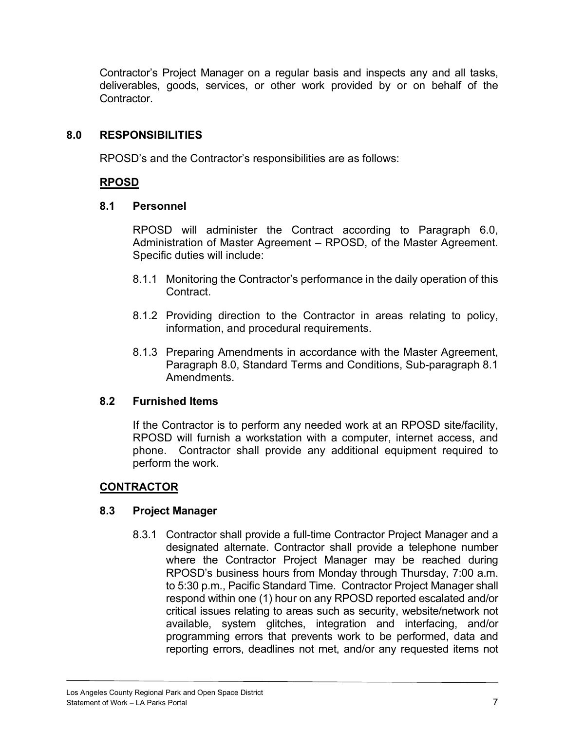<span id="page-9-0"></span>Contractor's Project Manager on a regular basis and inspects any and all tasks, deliverables, goods, services, or other work provided by or on behalf of the Contractor.

## **8.0 RESPONSIBILITIES**

RPOSD's and the Contractor's responsibilities are as follows:

## **RPOSD**

#### **8.1 Personnel**

RPOSD will administer the Contract according to Paragraph 6.0, Administration of Master Agreement – RPOSD, of the Master Agreement. Specific duties will include:

- 8.1.1 Monitoring the Contractor's performance in the daily operation of this Contract.
- 8.1.2 Providing direction to the Contractor in areas relating to policy, information, and procedural requirements.
- 8.1.3 Preparing Amendments in accordance with the Master Agreement, Paragraph 8.0, Standard Terms and Conditions, Sub-paragraph 8.1 **Amendments**

## **8.2 Furnished Items**

If the Contractor is to perform any needed work at an RPOSD site/facility, RPOSD will furnish a workstation with a computer, internet access, and phone. Contractor shall provide any additional equipment required to perform the work.

## **CONTRACTOR**

## **8.3 Project Manager**

8.3.1 Contractor shall provide a full-time Contractor Project Manager and a designated alternate. Contractor shall provide a telephone number where the Contractor Project Manager may be reached during RPOSD's business hours from Monday through Thursday, 7:00 a.m. to 5:30 p.m., Pacific Standard Time. Contractor Project Manager shall respond within one (1) hour on any RPOSD reported escalated and/or critical issues relating to areas such as security, website/network not available, system glitches, integration and interfacing, and/or programming errors that prevents work to be performed, data and reporting errors, deadlines not met, and/or any requested items not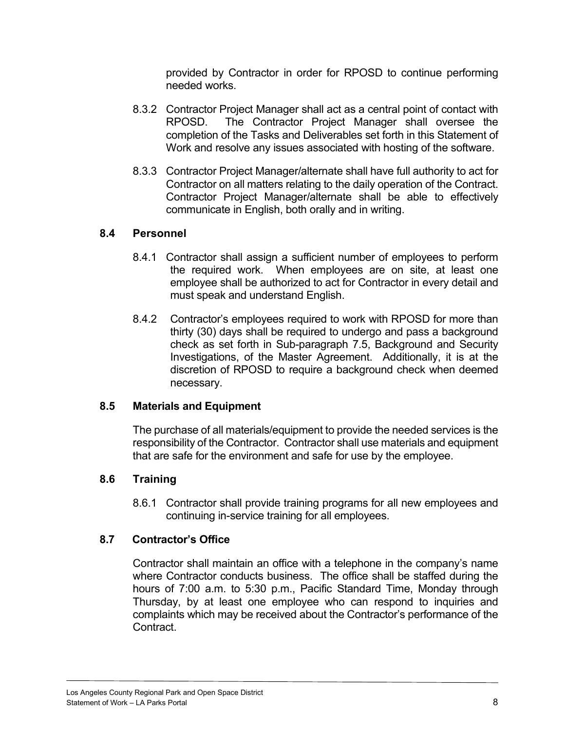provided by Contractor in order for RPOSD to continue performing needed works.

- <span id="page-10-0"></span>8.3.2 Contractor Project Manager shall act as a central point of contact with RPOSD. The Contractor Project Manager shall oversee the completion of the Tasks and Deliverables set forth in this Statement of Work and resolve any issues associated with hosting of the software.
- 8.3.3 Contractor Project Manager/alternate shall have full authority to act for Contractor on all matters relating to the daily operation of the Contract. Contractor Project Manager/alternate shall be able to effectively communicate in English, both orally and in writing.

## **8.4 Personnel**

- 8.4.1 Contractor shall assign a sufficient number of employees to perform the required work. When employees are on site, at least one employee shall be authorized to act for Contractor in every detail and must speak and understand English.
- 8.4.2 Contractor's employees required to work with RPOSD for more than thirty (30) days shall be required to undergo and pass a background check as set forth in Sub-paragraph 7.5, Background and Security Investigations, of the Master Agreement. Additionally, it is at the discretion of RPOSD to require a background check when deemed necessary.

## **8.5 Materials and Equipment**

The purchase of all materials/equipment to provide the needed services is the responsibility of the Contractor. Contractor shall use materials and equipment that are safe for the environment and safe for use by the employee.

## **8.6 Training**

8.6.1 Contractor shall provide training programs for all new employees and continuing in-service training for all employees.

## **8.7 Contractor's Office**

Contractor shall maintain an office with a telephone in the company's name where Contractor conducts business. The office shall be staffed during the hours of 7:00 a.m. to 5:30 p.m., Pacific Standard Time, Monday through Thursday, by at least one employee who can respond to inquiries and complaints which may be received about the Contractor's performance of the Contract.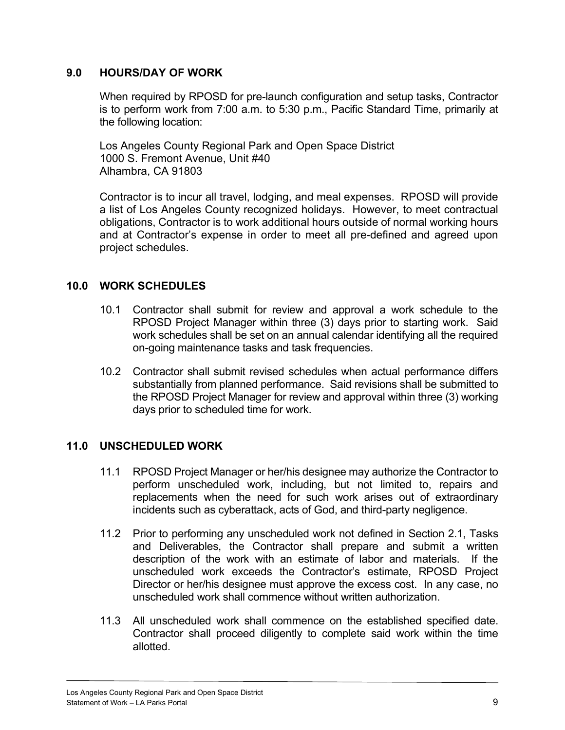#### <span id="page-11-0"></span>**9.0 HOURS/DAY OF WORK**

When required by RPOSD for pre-launch configuration and setup tasks, Contractor is to perform work from 7:00 a.m. to 5:30 p.m., Pacific Standard Time, primarily at the following location:

Los Angeles County Regional Park and Open Space District 1000 S. Fremont Avenue, Unit #40 Alhambra, CA 91803

Contractor is to incur all travel, lodging, and meal expenses. RPOSD will provide a list of Los Angeles County recognized holidays. However, to meet contractual obligations, Contractor is to work additional hours outside of normal working hours and at Contractor's expense in order to meet all pre-defined and agreed upon project schedules.

## **10.0 WORK SCHEDULES**

- 10.1 Contractor shall submit for review and approval a work schedule to the RPOSD Project Manager within three (3) days prior to starting work. Said work schedules shall be set on an annual calendar identifying all the required on-going maintenance tasks and task frequencies.
- 10.2 Contractor shall submit revised schedules when actual performance differs substantially from planned performance. Said revisions shall be submitted to the RPOSD Project Manager for review and approval within three (3) working days prior to scheduled time for work.

## **11.0 UNSCHEDULED WORK**

- 11.1 RPOSD Project Manager or her/his designee may authorize the Contractor to perform unscheduled work, including, but not limited to, repairs and replacements when the need for such work arises out of extraordinary incidents such as cyberattack, acts of God, and third-party negligence.
- 11.2 Prior to performing any unscheduled work not defined in Section 2.1, Tasks and Deliverables, the Contractor shall prepare and submit a written description of the work with an estimate of labor and materials. If the unscheduled work exceeds the Contractor's estimate, RPOSD Project Director or her/his designee must approve the excess cost. In any case, no unscheduled work shall commence without written authorization.
- 11.3 All unscheduled work shall commence on the established specified date. Contractor shall proceed diligently to complete said work within the time allotted.